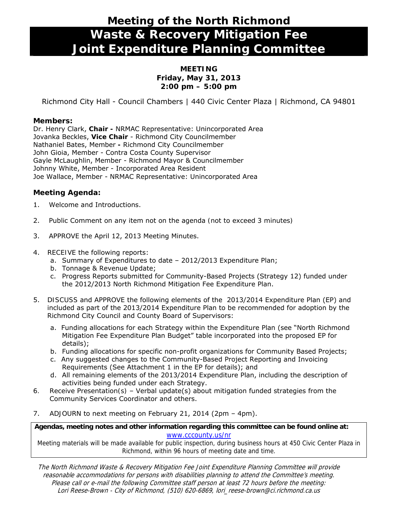# **Meeting of the North Richmond Waste & Recovery Mitigation Fee Joint Expenditure Planning Committee**

## **MEETING Friday, May 31, 2013 2:00 pm – 5:00 pm**

Richmond City Hall - Council Chambers | 440 Civic Center Plaza | Richmond, CA 94801

## **Members:**

Dr. Henry Clark, **Chair -** NRMAC Representative: Unincorporated Area Jovanka Beckles, **Vice Chair** - Richmond City Councilmember Nathaniel Bates, Member **-** Richmond City Councilmember John Gioia, Member - Contra Costa County Supervisor Gayle McLaughlin, Member - Richmond Mayor & Councilmember Johnny White, Member - Incorporated Area Resident Joe Wallace, Member - NRMAC Representative: Unincorporated Area

## **Meeting Agenda:**

- 1. Welcome and Introductions.
- 2. Public Comment on any item not on the agenda *(not to exceed 3 minutes)*
- 3. *APPROVE* [the April 12, 2013 Meeting Minutes.](#page-1-0)
- 4. *RECEIVE* the following reports:
	- a. Summary of Expenditures to date 2012/2013 Expenditure Plan;
	- b. Tonnage & Revenue Update;
	- c. Progress Reports submitted for Community-Based Projects (Strategy 12) funded under the 2012/2013 North Richmond Mitigation Fee Expenditure Plan.
- 5. *DISCUSS* and *APPROVE* the following elements of the 2013/2014 Expenditure Plan (EP) and included as part of the 2013/2014 Expenditure Plan to be recommended for adoption by the Richmond City Council and County Board of Supervisors:
	- a. Funding allocations for each Strategy within the Expenditure Plan (see "North Richmond Mitigation Fee Expenditure Plan Budget" table incorporated into the proposed EP for details);
	- b. Funding allocations for specific non-profit organizations for Community Based Projects;
	- c. Any suggested changes to the Community-Based Project Reporting and Invoicing Requirements (See Attachment 1 in the EP for details); and
	- d. All remaining elements of the 2013/2014 Expenditure Plan, including the description of activities being funded under each Strategy.
- *6. Receive Presentation(s)*  Verbal update(s) about mitigation funded strategies from the Community Services Coordinator and others.
- 7. *ADJOURN* to next meeting on February 21, 2014 (2pm 4pm).

### **Agendas, meeting notes and other information regarding this committee can be found online at:**  www.cccounty.us/nr

Meeting materials will be made available for public inspection, during business hours at 450 Civic Center Plaza in Richmond, within 96 hours of meeting date and time.

The North Richmond Waste & Recovery Mitigation Fee Joint Expenditure Planning Committee will provide reasonable accommodations for persons with disabilities planning to attend the Committee's meeting. Please call or e-mail the following Committee staff person at least 72 hours before the meeting: Lori Reese-Brown - City of Richmond, (510) 620-6869, lori\_reese-brown@ci.richmond.ca.us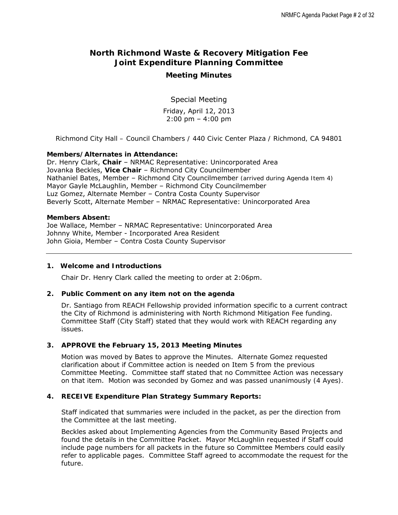## <span id="page-1-0"></span>**North Richmond Waste & Recovery Mitigation Fee Joint Expenditure Planning Committee**

## **Meeting Minutes**

Special Meeting

Friday, April 12, 2013 2:00 pm – 4:00 pm

*Richmond City Hall – Council Chambers / 440 Civic Center Plaza / Richmond, CA 94801* 

#### **Members/Alternates in Attendance:**

Dr. Henry Clark, **Chair** – NRMAC Representative: Unincorporated Area Jovanka Beckles, **Vice Chair** – Richmond City Councilmember Nathaniel Bates, Member – Richmond City Councilmember *(arrived during Agenda Item 4)*  Mayor Gayle McLaughlin, Member – Richmond City Councilmember Luz Gomez, Alternate Member – Contra Costa County Supervisor Beverly Scott, Alternate Member – NRMAC Representative: Unincorporated Area

#### **Members Absent:**

Joe Wallace, Member – NRMAC Representative: Unincorporated Area Johnny White, Member - Incorporated Area Resident John Gioia, Member – Contra Costa County Supervisor

#### **1. Welcome and Introductions**

Chair Dr. Henry Clark called the meeting to order at 2:06pm.

#### **2. Public Comment on any item not on the agenda**

Dr. Santiago from REACH Fellowship provided information specific to a current contract the City of Richmond is administering with North Richmond Mitigation Fee funding. Committee Staff (City Staff) stated that they would work with REACH regarding any issues.

#### **3. APPROVE the February 15, 2013 Meeting Minutes**

*Motion was moved* by Bates to approve the Minutes. Alternate Gomez requested clarification about if Committee action is needed on Item 5 from the previous Committee Meeting. Committee staff stated that no Committee Action was necessary on that item. *Motion was seconded* by Gomez and *was passed unanimously (4 Ayes).* 

#### **4. RECEIVE Expenditure Plan Strategy Summary Reports:**

Staff indicated that summaries were included in the packet, as per the direction from the Committee at the last meeting.

Beckles asked about Implementing Agencies from the Community Based Projects and found the details in the Committee Packet. Mayor McLaughlin requested if Staff could include page numbers for all packets in the future so Committee Members could easily refer to applicable pages. Committee Staff agreed to accommodate the request for the future.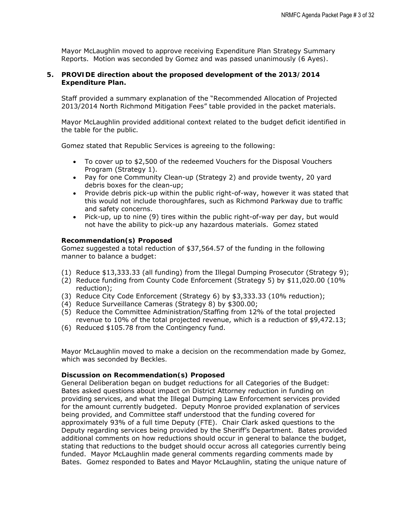Mayor McLaughlin *moved to approve* receiving Expenditure Plan Strategy Summary Reports. *Motion was seconded* by Gomez and was passed *unanimously (6 Ayes)*.

#### **5. PROVIDE direction about the proposed development of the 2013/2014 Expenditure Plan.**

Staff provided a summary explanation of the "Recommended Allocation of Projected 2013/2014 North Richmond Mitigation Fees" table provided in the packet materials.

 Mayor McLaughlin provided additional context related to the budget deficit identified in the table for the public.

Gomez stated that Republic Services is agreeing to the following:

- To cover up to \$2,500 of the redeemed Vouchers for the Disposal Vouchers Program (Strategy 1).
- Pay for one Community Clean-up (Strategy 2) and provide twenty, 20 yard debris boxes for the clean-up;
- Provide debris pick-up within the public right-of-way, however it was stated that this would not include thoroughfares, such as Richmond Parkway due to traffic and safety concerns.
- Pick-up, up to nine (9) tires within the public right-of-way per day, but would not have the ability to pick-up any hazardous materials. Gomez stated

#### *Recommendation(s) Proposed*

Gomez suggested a total reduction of \$37,564.57 of the funding in the following manner to balance a budget:

- (1) Reduce \$13,333.33 (all funding) from the Illegal Dumping Prosecutor (Strategy 9);
- (2) Reduce funding from County Code Enforcement (Strategy 5) by \$11,020.00 (10% reduction);
- (3) Reduce City Code Enforcement (Strategy 6) by \$3,333.33 (10% reduction);
- (4) Reduce Surveillance Cameras (Strategy 8) by \$300.00;
- (5) Reduce the Committee Administration/Staffing from 12% of the total projected revenue to 10% of the total projected revenue, which is a reduction of \$9,472.13;
- (6) Reduced \$105.78 from the Contingency fund.

*Mayor McLaughlin moved to make a decision on the recommendation made by Gomez, which was seconded by Beckles.* 

#### *Discussion on Recommendation(s) Proposed*

*General Deliberation began on budget reductions for all Categories of the Budget:*  Bates asked questions about impact on District Attorney reduction in funding on providing services, and what the Illegal Dumping Law Enforcement services provided for the amount currently budgeted. Deputy Monroe provided explanation of services being provided, and Committee staff understood that the funding covered for approximately 93% of a full time Deputy (FTE). Chair Clark asked questions to the Deputy regarding services being provided by the Sheriff's Department. Bates provided additional comments on how reductions should occur in general to balance the budget, stating that reductions to the budget should occur across all categories currently being funded. Mayor McLaughlin made general comments regarding comments made by Bates. Gomez responded to Bates and Mayor McLaughlin, stating the unique nature of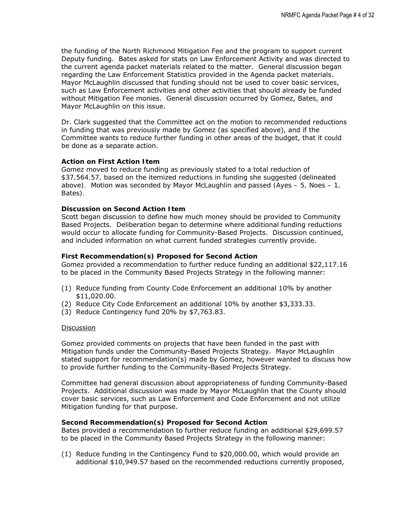the funding of the North Richmond Mitigation Fee and the program to support current Deputy funding. Bates asked for stats on Law Enforcement Activity and was directed to the current agenda packet materials related to the matter. General discussion began regarding the Law Enforcement Statistics provided in the Agenda packet materials. Mayor McLaughlin discussed that funding should not be used to cover basic services, such as Law Enforcement activities and other activities that should already be funded without Mitigation Fee monies. General discussion occurred by Gomez, Bates, and Mayor McLaughlin on this issue.

Dr. Clark suggested that the Committee act on the motion to recommended reductions in funding that was previously made by Gomez (as specified above), and if the Committee wants to reduce further funding in other areas of the budget, that it could be done as a separate action.

#### *Action on First Action Item*

Gomez moved to reduce funding as previously stated to a total reduction of *\$37,564.57, based on the itemized reductions in funding she suggested (delineated above). Motion was seconded by Mayor McLaughlin and passed (Ayes – 5, Noes – 1, Bates).* 

#### *Discussion on Second Action Item*

Scott began discussion to define how much money should be provided to Community Based Projects. Deliberation began to determine where additional funding reductions would occur to allocate funding for Community-Based Projects. Discussion continued, and included information on what current funded strategies currently provide.

#### *First Recommendation(s) Proposed for Second Action*

Gomez provided a recommendation to further reduce funding an additional \$22,117.16 to be placed in the Community Based Projects Strategy in the following manner:

- (1) Reduce funding from County Code Enforcement an additional 10% by another \$11,020.00.
- (2) Reduce City Code Enforcement an additional 10% by another \$3,333.33.
- (3) Reduce Contingency fund 20% by \$7,763.83.

#### **Discussion**

Gomez provided comments on projects that have been funded in the past with Mitigation funds under the Community-Based Projects Strategy. Mayor McLaughlin stated support for recommendation(s) made by Gomez, however wanted to discuss how to provide further funding to the Community-Based Projects Strategy.

Committee had general discussion about appropriateness of funding Community-Based Projects. Additional discussion was made by Mayor McLaughlin that the County should cover basic services, such as Law Enforcement and Code Enforcement and not utilize Mitigation funding for that purpose.

#### *Second Recommendation(s) Proposed for Second Action*

Bates provided a recommendation to further reduce funding an additional \$29,699.57 to be placed in the Community Based Projects Strategy in the following manner:

(1) Reduce funding in the Contingency Fund to \$20,000.00, which would provide an additional \$10,949.57 based on the recommended reductions currently proposed,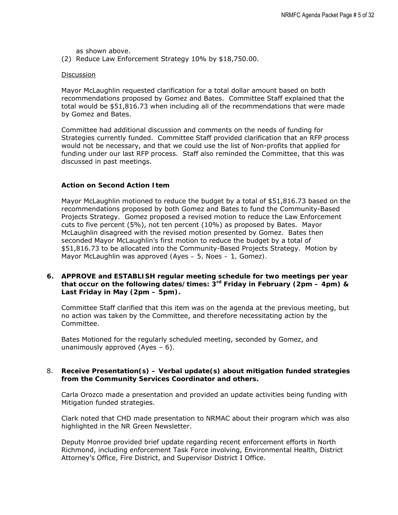as shown above.

(2) Reduce Law Enforcement Strategy 10% by \$18,750.00.

#### Discussion

Mayor McLaughlin requested clarification for a total dollar amount based on both recommendations proposed by Gomez and Bates. Committee Staff explained that the total would be \$51,816.73 when including all of the recommendations that were made by Gomez and Bates.

Committee had additional discussion and comments on the needs of funding for Strategies currently funded. Committee Staff provided clarification that an RFP process would not be necessary, and that we could use the list of Non-profits that applied for funding under our last RFP process. Staff also reminded the Committee, that this was discussed in past meetings.

#### *Action on Second Action Item*

Mayor McLaughlin *motioned* to reduce the budget by a total of \$51,816.73 based on the recommendations proposed by both Gomez and Bates to fund the Community-Based Projects Strategy. Gomez proposed a *revised motion* to reduce the Law Enforcement cuts to five percent (5%), not ten percent (10%) as proposed by Bates. Mayor McLaughlin disagreed with the revised motion presented by Gomez. *Bates then seconded Mayor McLaughlin's first motion* to reduce the budget by a total of \$51,816.73 to be allocated into the Community-Based Projects Strategy. Motion by Mayor McLaughlin was approved *(Ayes – 5, Noes – 1, Gomez).*

**6. APPROVE and ESTABLISH regular meeting schedule for two meetings per year that occur on the following dates/times: 3rd Friday in February (2pm – 4pm) & Last Friday in May (2pm – 5pm).** 

Committee Staff clarified that this item was on the agenda at the previous meeting, but no action was taken by the Committee, and therefore necessitating action by the Committee.

Bates Motioned for the regularly scheduled meeting, seconded by Gomez, and unanimously approved  $(Ayes - 6)$ .

#### 8. **Receive Presentation(s) – Verbal update(s) about mitigation funded strategies from the Community Services Coordinator and others.**

Carla Orozco made a presentation and provided an update activities being funding with Mitigation funded strategies.

Clark noted that CHD made presentation to NRMAC about their program which was also highlighted in the NR Green Newsletter.

Deputy Monroe provided brief update regarding recent enforcement efforts in North Richmond, including enforcement Task Force involving, Environmental Health, District Attorney's Office, Fire District, and Supervisor District I Office.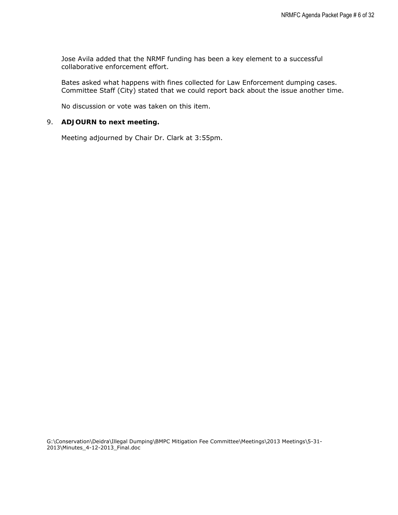Jose Avila added that the NRMF funding has been a key element to a successful collaborative enforcement effort.

Bates asked what happens with fines collected for Law Enforcement dumping cases. Committee Staff (City) stated that we could report back about the issue another time.

No discussion or vote was taken on this item.

#### 9. **ADJOURN to next meeting.**

Meeting adjourned by Chair Dr. Clark at 3:55pm.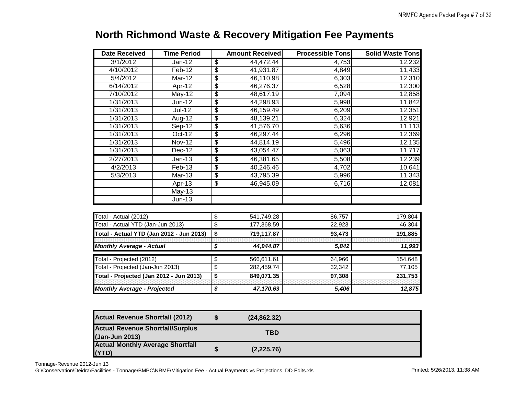| <b>Date Received</b>                     | <b>Time Period</b>  |                                      | <b>Amount Received</b> | <b>Processible Tons</b> | <b>Solid Waste Tons</b> |
|------------------------------------------|---------------------|--------------------------------------|------------------------|-------------------------|-------------------------|
| 3/1/2012                                 | $Jan-12$            | $\overline{\mathbf{e}}$              | $\overline{44,472.44}$ | 4,753                   | 12,232                  |
| 4/10/2012                                | Feb-12              | $\overline{\mathbf{e}}$              | 41,931.87              | 4,849                   | 11,433                  |
| 5/4/2012                                 | Mar-12              | \$                                   | 46,110.98              | 6,303                   | 12,310                  |
| 6/14/2012                                | Apr-12              | \$                                   | 46,276.37              | 6,528                   | 12,300                  |
| 7/10/2012                                | <b>May-12</b>       | $\overline{\$}$                      | 48,617.19              | 7,094                   | 12,858                  |
| 1/31/2013                                | $Jun-12$            | \$                                   | 44,298.93              | 5,998                   | 11,842                  |
| 1/31/2013                                | $Jul-12$            | \$                                   | 46,159.49              | 6,209                   | 12,351                  |
| 1/31/2013                                | Aug-12              | $\overline{\$}$                      | 48,139.21              | 6,324                   | 12,921                  |
| 1/31/2013                                | $Sep-12$            | \$                                   | 41,576.70              | 5,636                   | 11,113                  |
| 1/31/2013                                | Oct-12              | \$                                   | 46,297.44              | 6,296                   | 12,369                  |
| 1/31/2013                                | <b>Nov-12</b>       | \$                                   | 44,814.19              | 5,496                   | 12,135                  |
| 1/31/2013                                | $\overline{Dec-12}$ | $\overline{\$}$                      | 43,054.47              | 5,063                   | 11,717                  |
| 2/27/2013                                | $Jan-13$            | \$                                   | 46,381.65              | 5,508                   | 12,239                  |
| 4/2/2013                                 | Feb-13              | $\overline{\mathbf{e}}$              | 40,246.46              | 4,702                   | 10,641                  |
| 5/3/2013                                 | $Mar-13$            | $\overline{\$}$                      | 43,795.39              | 5,996                   | 11,343                  |
|                                          | Apr-13              | $\overline{\$}$                      | 46,945.09              | 6,716                   | 12,081                  |
|                                          | <b>May-13</b>       |                                      |                        |                         |                         |
|                                          | $Jun-13$            |                                      |                        |                         |                         |
| Total - Actual (2012)                    |                     | \$                                   | 541,749.28             | 86,757                  | 179,804                 |
| Total - Actual YTD (Jan-Jun 2013)        |                     | $\overline{\mathcal{L}}$             | 177,368.59             | 22,923                  | 46,304                  |
| Total - Actual YTD (Jan 2012 - Jun 2013) |                     | $\overline{\boldsymbol{\mathsf{s}}}$ | 719,117.87             | 93,473                  | 191,885                 |
|                                          |                     |                                      |                        |                         |                         |
| <b>Monthly Average - Actual</b>          |                     | \$                                   | 44,944.87              | 5,842                   | 11,993                  |
| Total - Projected (2012)                 |                     | \$                                   | 566,611.61             | 64,966                  | 154,648                 |
| Total - Projected (Jan-Jun 2013)         |                     | \$                                   | 282,459.74             | 32,342                  | 77,105                  |
| Total - Projected (Jan 2012 - Jun 2013)  |                     | \$                                   | 849,071.35             | 97,308                  | 231,753                 |
| <b>Monthly Average - Projected</b>       |                     | \$                                   | 47,170.63              | 5,406                   | 12,875                  |
|                                          |                     |                                      |                        |                         |                         |

# **North Richmond Waste & Recovery Mitigation Fee Payments**

| <b>Actual Revenue Shortfall (2012)</b>                    | (24, 862.32) |  |
|-----------------------------------------------------------|--------------|--|
| <b>Actual Revenue Shortfall/Surplus</b><br>(Jan-Jun 2013) | TBD          |  |
| <b>Actual Monthly Average Shortfall</b><br>(YTD)          | (2,225.76)   |  |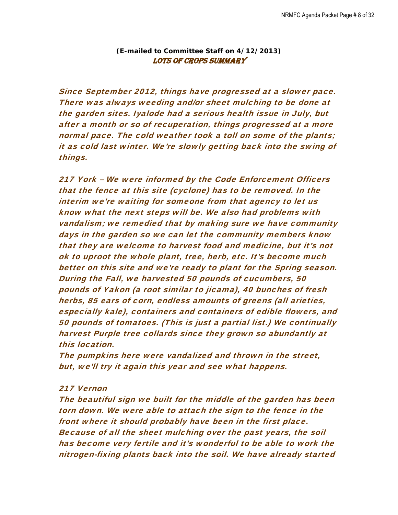## *(E-mailed to Committee Staff on 4/12/2013)*  LOTS OF CROPS SUMMARY

Since September 2012, things have progressed at a slower pace. There was always weeding and/or sheet mulching to be done at the garden sites. Iyalode had a serious health issue in July, but after a month or so of recuperation, things progressed at a more normal pace. The cold weather took a toll on some of the plants; it as cold last winter. We're slowly getting back into the swing of things.

217 York – We were informed by the Code Enforcement Officers that the fence at this site (cyclone) has to be removed. In the interim we're waiting for someone from that agency to let us know what the next steps will be. We also had problems with vandalism; we remedied that by making sure we have community days in the garden so we can let the community members know that they are welcome to harvest food and medicine, but it's not ok to uproot the whole plant, tree, herb, etc. It's become much better on this site and we're ready to plant for the Spring season. During the Fall, we harvested 50 pounds of cucumbers, 50 pounds of Yakon (a root similar to jicama), 40 bunches of fresh herbs, 85 ears of corn, endless amounts of greens (all arieties, especially kale), containers and containers of edible flowers, and 50 pounds of tomatoes. (This is just a partial list.) We continually harvest Purple tree collards since they grown so abundantly at this location.

The pumpkins here were vandalized and thrown in the street, but, we'll try it again this year and see what happens.

## 217 Vernon

The beautiful sign we built for the middle of the garden has been torn down. We were able to attach the sign to the fence in the front where it should probably have been in the first place. Because of all the sheet mulching over the past years, the soil has become very fertile and it's wonderful to be able to work the nitrogen-fixing plants back into the soil. We have already started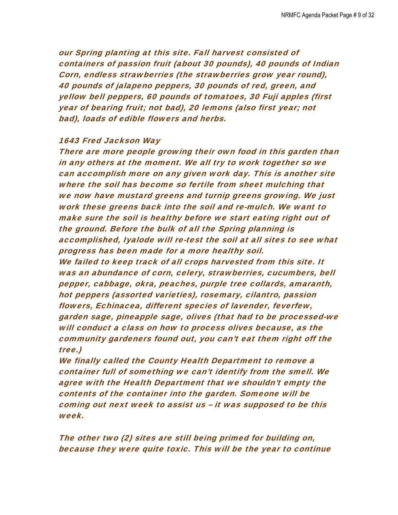our Spring planting at this site. Fall harvest consisted of containers of passion fruit (about 30 pounds), 40 pounds of Indian Corn, endless strawberries (the strawberries grow year round), 40 pounds of jalapeno peppers, 30 pounds of red, green, and yellow bell peppers, 60 pounds of tomatoes, 30 Fuji apples (first year of bearing fruit; not bad), 20 lemons (also first year; not bad), loads of edible flowers and herbs.

## 1643 Fred Jackson Way

There are more people growing their own food in this garden than in any others at the moment. We all try to work together so we can accomplish more on any given work day. This is another site where the soil has become so fertile from sheet mulching that we now have mustard greens and turnip greens growing. We just work these greens back into the soil and re-mulch. We want to make sure the soil is healthy before we start eating right out of the ground. Before the bulk of all the Spring planning is accomplished, Iyalode will re-test the soil at all sites to see what progress has been made for a more healthy soil. We failed to keep track of all crops harvested from this site. It was an abundance of corn, celery, strawberries, cucumbers, bell pepper, cabbage, okra, peaches, purple tree collards, amaranth, hot peppers (assorted varieties), rosemary, cilantro, passion flowers, Echinacea, different species of lavender, feverfew, garden sage, pineapple sage, olives (that had to be processed-we will conduct a class on how to process olives because, as the community gardeners found out, you can't eat them right off the tree.)

We finally called the County Health Department to remove a container full of something we can't identify from the smell. We agree with the Health Department that we shouldn't empty the contents of the container into the garden. Someone will be coming out next week to assist us – it was supposed to be this week.

The other two (2) sites are still being primed for building on, because they were quite toxic. This will be the year to continue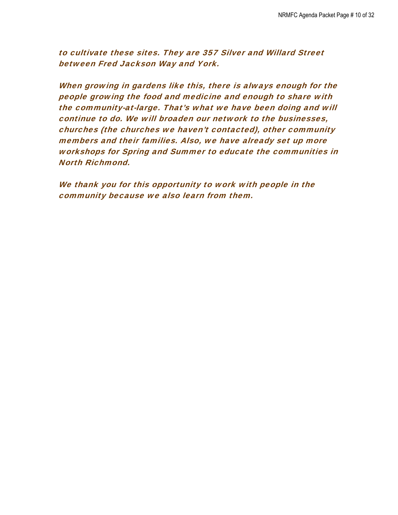to cultivate these sites. They are 357 Silver and Willard Street between Fred Jackson Way and York.

When growing in gardens like this, there is always enough for the people growing the food and medicine and enough to share with the community-at-large. That's what we have been doing and will continue to do. We will broaden our network to the businesses, churches (the churches we haven't contacted), other community members and their families. Also, we have already set up more workshops for Spring and Summer to educate the communities in North Richmond.

We thank you for this opportunity to work with people in the community because we also learn from them.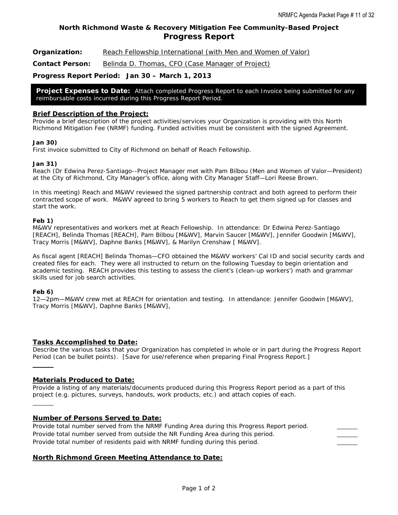## **North Richmond Waste & Recovery Mitigation Fee Community-Based Project Progress Report**

**Organization:** Reach Fellowship International (with Men and Women of Valor)

Contact Person: **Belinda D. Thomas, CFO (Case Manager of Project)** 

#### **Progress Report Period: Jan 30 – March 1, 2013**

**Project Expenses to Date:** *Attach completed Progress Report to each Invoice being submitted for any reimbursable costs incurred during this Progress Report Period.* 

#### **Brief Description of the Project:**

*Provide a brief description of the project activities/services your Organization is providing with this North Richmond Mitigation Fee (NRMF) funding. Funded activities must be consistent with the signed Agreement.* 

#### **Jan 30)**

First invoice submitted to City of Richmond on behalf of Reach Fellowship.

#### **Jan 31)**

Reach (Dr Edwina Perez-Santiago--Project Manager met with Pam Bilbou (Men and Women of Valor—President) at the City of Richmond, City Manager's office, along with City Manager Staff—Lori Reese Brown.

In this meeting) Reach and M&WV reviewed the signed partnership contract and both agreed to perform their contracted scope of work. M&WV agreed to bring 5 workers to Reach to get them signed up for classes and start the work.

#### **Feb 1)**

M&WV representatives and workers met at Reach Fellowship. In attendance: Dr Edwina Perez-Santiago [REACH], Belinda Thomas [REACH], Pam Bilbou [M&WV], Marvin Saucer [M&WV], Jennifer Goodwin [M&WV], Tracy Morris [M&WV], Daphne Banks [M&WV], & Marilyn Crenshaw [ M&WV].

As fiscal agent [REACH] Belinda Thomas—CFO obtained the M&WV workers' Cal ID and social security cards and created files for each. They were all instructed to return on the following Tuesday to begin orientation and academic testing. REACH provides this testing to assess the client's (clean-up workers') math and grammar skills used for job search activities.

#### **Feb 6)**

l

12—2pm—M&WV crew met at REACH for orientation and testing. In attendance: Jennifer Goodwin [M&WV], Tracy Morris [M&WV], Daphne Banks [M&WV],

#### **Tasks Accomplished to Date:**

*Describe the various tasks that your Organization has completed in whole or in part during the Progress Report Period (can be bullet points). [Save for use/reference when preparing Final Progress Report.]* 

#### **Materials Produced to Date:**

*Provide a listing of any materials/documents produced during this Progress Report period as a part of this project (e.g. pictures, surveys, handouts, work products, etc.) and attach copies of each.* 

#### **Number of Persons Served to Date:**

*Provide total number served from the NRMF Funding Area during this Progress Report period. Provide total number served from outside the NR Funding Area during this period. Provide total number of residents paid with NRMF funding during this period.* 

#### **North Richmond Green Meeting Attendance to Date:**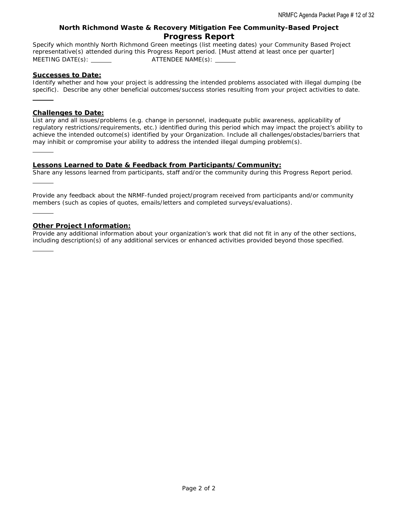### **North Richmond Waste & Recovery Mitigation Fee Community-Based Project Progress Report**

*Specify which monthly North Richmond Green meetings (list meeting dates) your Community Based Project representative(s) attended during this Progress Report period. [Must attend at least once per quarter] MEETING DATE(s): ATTENDEE NAME(s):* 

#### **Successes to Date:**

l

l

l

*Identify whether and how your project is addressing the intended problems associated with illegal dumping (be specific). Describe any other beneficial outcomes/success stories resulting from your project activities to date.* 

#### **Challenges to Date:**

*List any and all issues/problems (e.g. change in personnel, inadequate public awareness, applicability of regulatory restrictions/requirements, etc.) identified during this period which may impact the project's ability to achieve the intended outcome(s) identified by your Organization. Include all challenges/obstacles/barriers that may inhibit or compromise your ability to address the intended illegal dumping problem(s).* 

#### **Lessons Learned to Date & Feedback from Participants/Community:**

*Share any lessons learned from participants, staff and/or the community during this Progress Report period.* 

*Provide any feedback about the NRMF-funded project/program received from participants and/or community members (such as copies of quotes, emails/letters and completed surveys/evaluations).* 

#### **Other Project Information:**

*Provide any additional information about your organization's work that did not fit in any of the other sections, including description(s) of any additional services or enhanced activities provided beyond those specified.*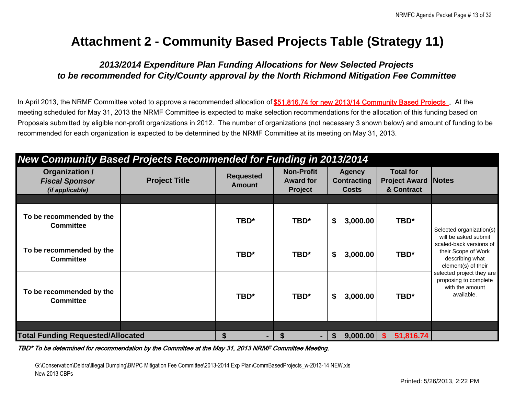# **Attachment 2 - Community Based Projects Table (Strategy 11)**

# *2013/2014 Expenditure Plan Funding Allocations for New Selected Projects to be recommended for City/County approval by the North Richmond Mitigation Fee Committee*

In April 2013, the NRMF Committee voted to approve a recommended allocation of \$51,816.74 for new 2013/14 Community Based Projects. At the meeting scheduled for May 31, 2013 the NRMF Committee is expected to make selection recommendations for the allocation of this funding based on Proposals submitted by eligible non-profit organizations in 2012. The number of organizations (not necessary 3 shown below) and amount of funding to be recommended for each organization is expected to be determined by the NRMF Committee at its meeting on May 31, 2013.

| New Community Based Projects Recommended for Funding in 2013/2014 |                      |                                   |                                                         |                                                     |          |                                                                |                                                                                          |  |  |  |
|-------------------------------------------------------------------|----------------------|-----------------------------------|---------------------------------------------------------|-----------------------------------------------------|----------|----------------------------------------------------------------|------------------------------------------------------------------------------------------|--|--|--|
| Organization /<br><b>Fiscal Sponsor</b><br>(if applicable)        | <b>Project Title</b> | <b>Requested</b><br><b>Amount</b> | <b>Non-Profit</b><br><b>Award for</b><br><b>Project</b> | <b>Agency</b><br><b>Contracting</b><br><b>Costs</b> |          | <b>Total for</b><br><b>Project Award   Notes</b><br>& Contract |                                                                                          |  |  |  |
|                                                                   |                      |                                   |                                                         |                                                     |          |                                                                |                                                                                          |  |  |  |
| To be recommended by the<br><b>Committee</b>                      |                      | TBD*                              | TBD*                                                    | \$                                                  | 3,000.00 | TBD*                                                           | Selected organization(s)<br>will be asked submit                                         |  |  |  |
| To be recommended by the<br><b>Committee</b>                      |                      | TBD*                              | TBD*                                                    | \$                                                  | 3,000.00 | TBD*                                                           | scaled-back versions of<br>their Scope of Work<br>describing what<br>element(s) of their |  |  |  |
| To be recommended by the<br><b>Committee</b>                      |                      | TBD*                              | TBD*                                                    | \$                                                  | 3,000.00 | TBD*                                                           | selected project they are<br>proposing to complete<br>with the amount<br>available.      |  |  |  |
|                                                                   |                      |                                   |                                                         |                                                     |          |                                                                |                                                                                          |  |  |  |
| <b>Total Funding Requested/Allocated</b>                          |                      | \$                                |                                                         | S.                                                  | 9,000.00 | 51,816.74<br>S                                                 |                                                                                          |  |  |  |

#### TBD\* To be determined for recommendation by the Committee at the May 31, 2013 NRMF Committee Meeting.

G:\Conservation\Deidra\Illegal Dumping\BMPC Mitigation Fee Committee\2013-2014 Exp Plan\CommBasedProjects\_w-2013-14 NEW.xls New 2013 CBPs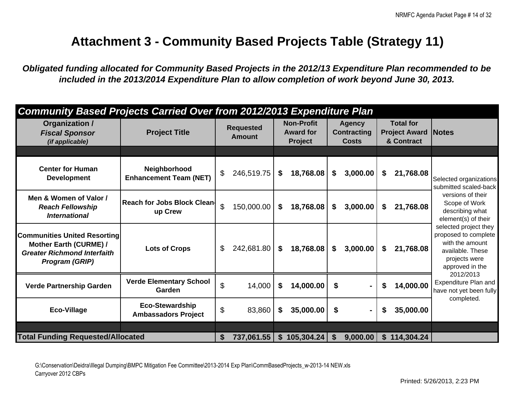# **Attachment 3 - Community Based Projects Table (Strategy 11)**

*Obligated funding allocated for Community Based Projects in the 2012/13 Expenditure Plan recommended to be included in the 2013/2014 Expenditure Plan to allow completion of work beyond June 30, 2013.* 

| <b>Community Based Projects Carried Over from 2012/2013 Expenditure Plan</b>                                          |                                                      |                |                                   |    |                                                         |          |                                                     |    |                                                        |                                                                                                                          |
|-----------------------------------------------------------------------------------------------------------------------|------------------------------------------------------|----------------|-----------------------------------|----|---------------------------------------------------------|----------|-----------------------------------------------------|----|--------------------------------------------------------|--------------------------------------------------------------------------------------------------------------------------|
| Organization /<br><b>Fiscal Sponsor</b><br>(if applicable)                                                            | <b>Project Title</b>                                 |                | <b>Requested</b><br><b>Amount</b> |    | <b>Non-Profit</b><br><b>Award for</b><br><b>Project</b> |          | <b>Agency</b><br><b>Contracting</b><br><b>Costs</b> |    | <b>Total for</b><br><b>Project Award</b><br>& Contract | <b>Notes</b>                                                                                                             |
|                                                                                                                       |                                                      |                |                                   |    |                                                         |          |                                                     |    |                                                        |                                                                                                                          |
| <b>Center for Human</b><br><b>Development</b>                                                                         | Neighborhood<br><b>Enhancement Team (NET)</b>        | $\mathfrak{S}$ | 246,519.75                        | \$ | 18,768.08                                               | \$       | 3,000.00                                            | \$ | 21,768.08                                              | Selected organizations<br>submitted scaled-back                                                                          |
| Men & Women of Valor /<br><b>Reach Fellowship</b><br><b>International</b>                                             | <b>Reach for Jobs Block Clean-</b><br>up Crew        | $\mathfrak{P}$ | 150,000.00                        | \$ | 18,768.08                                               | \$       | 3,000.00                                            | \$ | 21,768.08                                              | versions of their<br>Scope of Work<br>describing what<br>element(s) of their                                             |
| <b>Communities United Resorting</b><br>Mother Earth (CURME) /<br><b>Greater Richmond Interfaith</b><br>Program (GRIP) | <b>Lots of Crops</b>                                 | \$             | 242,681.80                        | \$ | 18,768.08                                               | \$       | 3,000.00                                            | S. | 21,768.08                                              | selected project they<br>proposed to complete<br>with the amount<br>available. These<br>projects were<br>approved in the |
| <b>Verde Partnership Garden</b>                                                                                       | <b>Verde Elementary School</b><br>Garden             | \$             | 14,000                            | \$ | 14,000.00                                               | \$       |                                                     | S  | 14,000.00                                              | 2012/2013<br>Expenditure Plan and<br>have not yet been fully                                                             |
| <b>Eco-Village</b>                                                                                                    | <b>Eco-Stewardship</b><br><b>Ambassadors Project</b> | \$             | 83,860                            | \$ | 35,000.00                                               | \$       | Ξ.                                                  | \$ | 35,000.00                                              | completed.                                                                                                               |
|                                                                                                                       |                                                      |                |                                   |    |                                                         |          |                                                     |    |                                                        |                                                                                                                          |
| <b>Total Funding Requested/Allocated</b>                                                                              |                                                      | $\mathbf s$    | 737,061.55                        |    | \$105,304.24                                            | <b>S</b> | 9,000.00                                            |    | \$114,304.24                                           |                                                                                                                          |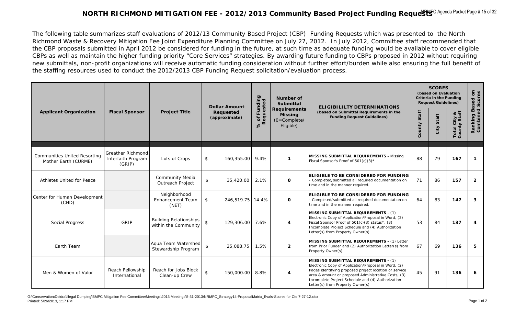# NORTH RICHMOND MITIGATION FEE - 2012/2013 Community Based Project Funding Reque $\rm{WFC}$  <sup>Agenda Packet Page # 15 of 32</sup>

The following table summarizes staff evaluations of 2012/13 Community Based Project (CBP) Funding Requests which was presented to the North Richmond Waste & Recovery Mitigation Fee Joint Expenditure Planning Committee on July 27, 2012. In July 2012, Committee staff recommended that the CBP proposals submitted in April 2012 be considered for funding in the future, at such time as adequate funding would be available to cover eligible CBPs as well as maintain the higher funding priority "Core Services" strategies. By awarding future funding to CBPs proposed in 2012 without requiring new submittals, non-profit organizations will receive automatic funding consideration without further effort/burden while also ensuring the full benefit of the staffing resources used to conduct the 2012/2013 CBP Funding Request solicitation/evaluation process.

|                                                             |                                                          |                                                       | <b>Dollar Amount</b>               |                                       | Number of<br>Submittal                                               | <b>ELIGIBILILTY DETERMINATIONS</b>                                                                                                                                                                                                                                                                            | <b>SCORES</b><br>(based on Evaluation<br><b>Criteria in the Funding</b><br><b>Request Guidelines)</b> |               |                              |                                     |
|-------------------------------------------------------------|----------------------------------------------------------|-------------------------------------------------------|------------------------------------|---------------------------------------|----------------------------------------------------------------------|---------------------------------------------------------------------------------------------------------------------------------------------------------------------------------------------------------------------------------------------------------------------------------------------------------------|-------------------------------------------------------------------------------------------------------|---------------|------------------------------|-------------------------------------|
| <b>Applicant Organization</b>                               | <b>Fiscal Sponsor</b>                                    | <b>Project Title</b>                                  | <b>Requested</b><br>(approximate)  | 6 of Funding<br>Requested<br>$\infty$ | <b>Requirements</b><br><b>Missing</b><br>$(O=Complete/$<br>Eligible) | (based on Submittal Requirements in the<br><b>Funding Request Guidelines)</b>                                                                                                                                                                                                                                 | Staff<br>County                                                                                       | Staff<br>City | Total City &<br>County Staff | Ranking Based on<br>Combined Scores |
| <b>Communities United Resorting</b><br>Mother Earth (CURME) | <b>Greather Richmond</b><br>Interfaith Program<br>(GRIP) | Lots of Crops                                         | \$<br>160,355.00                   | 9.4%                                  | $\mathbf{1}$                                                         | MISSING SUBMITTAL REQUIREMENTS - Missing<br>Fiscal Sponsor's Proof of 501(c)(3)*                                                                                                                                                                                                                              | 88                                                                                                    | 79            | 167                          | $\boldsymbol{\tau}$                 |
| Athletes United for Peace                                   |                                                          | Community Media<br>Outreach Project                   | $\mathfrak{L}$<br>35,420.00        | 2.1%                                  | $\mathbf{o}$                                                         | <b>ELIGIBLE TO BE CONSIDERED FOR FUNDING</b><br>Completed/submitted all required documentation on<br>time and in the manner required.                                                                                                                                                                         | 71                                                                                                    | 86            | 157                          | $\overline{2}$                      |
| Center for Human Development<br>(CHD)                       |                                                          | Neighborhood<br>Enhancement Team<br>(NET)             | $\mathfrak{S}$<br>246,519.75 14.4% |                                       | $\mathbf{o}$                                                         | <b>ELIGIBLE TO BE CONSIDERED FOR FUNDING</b><br>Completed/submitted all required documentation on<br>time and in the manner required.                                                                                                                                                                         | 64                                                                                                    | 83            | 147                          | 3                                   |
| Social Progress                                             | GRIP                                                     | <b>Building Relationships</b><br>within the Community | $\mathbf{\hat{z}}$<br>129,306.00   | 7.6%                                  | $\overline{4}$                                                       | <b>MISSING SUBMITTAL REQUIREMENTS - (1)</b><br>Electronic Copy of Application/Proposal in Word, (2)<br>Fiscal Sponsor Proof of 501(c)(3) status*, (3)<br>Incomplete Project Schedule and (4) Authorization<br>Letter(s) from Property Owner(s)                                                                | 53                                                                                                    | 84            | 137                          | 4                                   |
| Earth Team                                                  |                                                          | Aqua Team Watershed<br>Stewardship Program            | $\mathsf{\$}$<br>25,088.75         | 1.5%                                  | $\overline{2}$                                                       | MISSING SUBMITTAL REQUIREMENTS - (1) Letter<br>from Prior Funder and (2) Authorization Letter(s) from<br>Property Owner(s)                                                                                                                                                                                    | 67                                                                                                    | 69            | 136                          | 5                                   |
| Men & Women of Valor                                        | Reach Fellowship<br>International                        | Reach for Jobs Block<br>Clean-up Crew                 | $\frac{1}{2}$<br>150,000.00        | 8.8%                                  | $\overline{4}$                                                       | <b>MISSING SUBMITTAL REQUIREMENTS - (1)</b><br>Electronic Copy of Application/Proposal in Word, (2)<br>Pages identifying proposed project location or service<br>area & amount or proposed Administrative Costs, (3)<br>Incomplete Project Schedule and (4) Authorization<br>Letter(s) from Property Owner(s) | 45                                                                                                    | 91            | 136                          | 6                                   |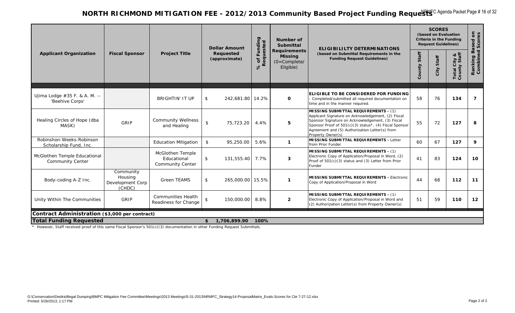## NORTH RICHMOND MITIGATION FEE - 2012/2013 Community Based Project Funding Reque $\rm{WFC}$  <sup>Agenda Packet Page # 16 of 32</sup>

|                                                         |                                                    |                                                                   | <b>Dollar Amount</b>       |                                   | Number of<br>Submittal                                               | ELIGIBILILTY DETERMINATIONS                                                                                                                                                                                                                                                            |                 | <b>SCORES</b><br>(based on Evaluation<br>Criteria in the Funding<br><b>Request Guidelines)</b> |                              |                           |
|---------------------------------------------------------|----------------------------------------------------|-------------------------------------------------------------------|----------------------------|-----------------------------------|----------------------------------------------------------------------|----------------------------------------------------------------------------------------------------------------------------------------------------------------------------------------------------------------------------------------------------------------------------------------|-----------------|------------------------------------------------------------------------------------------------|------------------------------|---------------------------|
| <b>Applicant Organization</b>                           | <b>Fiscal Sponsor</b>                              | <b>Project Title</b>                                              | Requested<br>(approximate) | % of Funding<br>Requested<br>$\%$ | <b>Requirements</b><br><b>Missing</b><br>$(O=Complete/$<br>Eligible) | (based on Submittal Requirements in the<br><b>Funding Request Guidelines)</b>                                                                                                                                                                                                          | Staff<br>County | Staff<br>City                                                                                  | Total City &<br>County Staff | Ranking Bas<br>Combined S |
| Ujima Lodge #35 F. & A. M. --<br>'Beehive Corps'        |                                                    | <b>BRIGHTIN' IT UP</b>                                            | 242,681.80 14.2%<br>\$     |                                   | $\mathbf 0$                                                          | ELIGIBLE TO BE CONSIDERED FOR FUNDING<br>- Completed/submitted all required documentation on<br>time and in the manner required.                                                                                                                                                       | 58              | 76                                                                                             | 134                          | $\overline{z}$            |
| Healing Circles of Hope (dba<br>MASK)                   | GRIP                                               | <b>Community Wellness</b><br>and Healing                          | \$<br>75,723.20            | 4.4%                              | 5                                                                    | <b>MISSING SUBMITTAL REQUIREMENTS - (1)</b><br>Applicant Signature on Acknowledgement, (2) Fiscal<br>Sponsor Signature on Acknowledgement, (3) Fiscal<br>Sponsor Proof of 501(c)(3) status*, (4) Fiscal Sponsor<br>Agreement and (5) Authorization Letter(s) from<br>Property Owner(s) | 55              | 72                                                                                             | 127                          | 8                         |
| Robinshon-Weeks-Robinson<br>Scholarship Fund, Inc.      |                                                    | <b>Education Mitigation</b>                                       | \$<br>95,250.00            | 5.6%                              | $\mathbf{1}$                                                         | <b>MISSING SUBMITTAL REQUIREMENTS - Letter</b><br>from Prior Funder                                                                                                                                                                                                                    | 60              | 67                                                                                             | 127                          | 9                         |
| McGlothen Temple Educational<br><b>Community Center</b> |                                                    | <b>McGlothen Temple</b><br>Educational<br><b>Community Center</b> | \$<br>131,555.40           | 7.7%                              | 3                                                                    | <b>MISSING SUBMITTAL REQUIREMENTS - (1)</b><br>Electronic Copy of Application/Proposal in Word, (2)<br>Proof of 501(c)(3) status and (3) Letter from Prior<br>Funder                                                                                                                   | 41              | 83                                                                                             | 124                          | 10                        |
| Body-coding A-Z Inc.                                    | Community<br>Housing<br>Development Corp<br>(CHDC) | <b>Green TEAMS</b>                                                | 265,000.00 15.5%<br>\$     |                                   | $\mathbf{1}$                                                         | MISSING SUBMITTAL REQUIREMENTS - Electronic<br>Copy of Application/Proposal in Word                                                                                                                                                                                                    | 44              | 68                                                                                             | 112                          | 11                        |
| Unity Within The Communities                            | GRIP                                               | <b>Communities Health</b><br>Readiness for Change                 | \$<br>150,000.00           | 8.8%                              | $\overline{2}$                                                       | <b>MISSING SUBMITTAL REQUIREMENTS - (1)</b><br>Electronic Copy of Application/Proposal in Word and<br>(2) Authorization Letter(s) from Property Owner(s)                                                                                                                               | 51              | 59                                                                                             | 110                          | 12                        |
| Contract Administration (\$3,000 per contract)          |                                                    |                                                                   |                            |                                   |                                                                      |                                                                                                                                                                                                                                                                                        |                 |                                                                                                |                              |                           |
| <b>Total Funding Requested</b>                          |                                                    |                                                                   | 1,706,899.90<br>\$         | 100%                              |                                                                      |                                                                                                                                                                                                                                                                                        |                 |                                                                                                |                              |                           |

\* However, Staff received proof of this same Fiscal Sponsor's 501(c)(3) documentation in other Funding Request Submittals.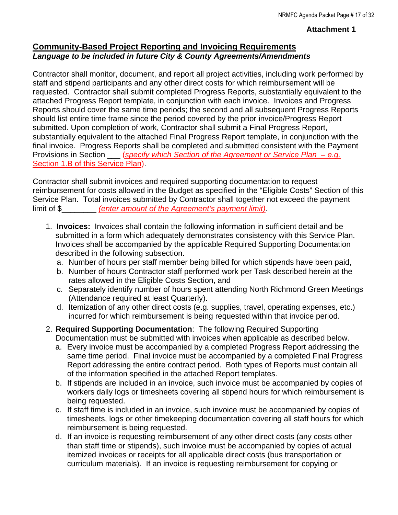## **Attachment 1**

## **Community-Based Project Reporting and Invoicing Requirements**  *Language to be included in future City & County Agreements/Amendments*

Contractor shall monitor, document, and report all project activities, including work performed by staff and stipend participants and any other direct costs for which reimbursement will be requested. Contractor shall submit completed Progress Reports, substantially equivalent to the attached Progress Report template, in conjunction with each invoice. Invoices and Progress Reports should cover the same time periods; the second and all subsequent Progress Reports should list entire time frame since the period covered by the prior invoice/Progress Report submitted. Upon completion of work, Contractor shall submit a Final Progress Report, substantially equivalent to the attached Final Progress Report template, in conjunction with the final invoice. Progress Reports shall be completed and submitted consistent with the Payment Provisions in Section \_\_\_\_ (*specify which Section of the Agreement or Service Plan – e.g.* Section 1.B of this Service Plan).

Contractor shall submit invoices and required supporting documentation to request reimbursement for costs allowed in the Budget as specified in the "Eligible Costs" Section of this Service Plan. Total invoices submitted by Contractor shall together not exceed the payment limit of \$\_\_\_\_\_\_\_\_ *(enter amount of the Agreement's payment limit).*

- 1. **Invoices:** Invoices shall contain the following information in sufficient detail and be submitted in a form which adequately demonstrates consistency with this Service Plan. Invoices shall be accompanied by the applicable Required Supporting Documentation described in the following subsection.
	- a. Number of hours per staff member being billed for which stipends have been paid,
	- b. Number of hours Contractor staff performed work per Task described herein at the rates allowed in the Eligible Costs Section, and
	- c. Separately identify number of hours spent attending North Richmond Green Meetings (Attendance required at least Quarterly).
	- d. Itemization of any other direct costs (e.g. supplies, travel, operating expenses, etc.) incurred for which reimbursement is being requested within that invoice period.
- 2. **Required Supporting Documentation**: The following Required Supporting Documentation must be submitted with invoices when applicable as described below.
	- a. Every invoice must be accompanied by a completed Progress Report addressing the same time period. Final invoice must be accompanied by a completed Final Progress Report addressing the entire contract period. Both types of Reports must contain all of the information specified in the attached Report templates.
	- b. If stipends are included in an invoice, such invoice must be accompanied by copies of workers daily logs or timesheets covering all stipend hours for which reimbursement is being requested.
	- c. If staff time is included in an invoice, such invoice must be accompanied by copies of timesheets, logs or other timekeeping documentation covering all staff hours for which reimbursement is being requested.
	- d. If an invoice is requesting reimbursement of any other direct costs (any costs other than staff time or stipends), such invoice must be accompanied by copies of actual itemized invoices or receipts for all applicable direct costs (bus transportation or curriculum materials). If an invoice is requesting reimbursement for copying or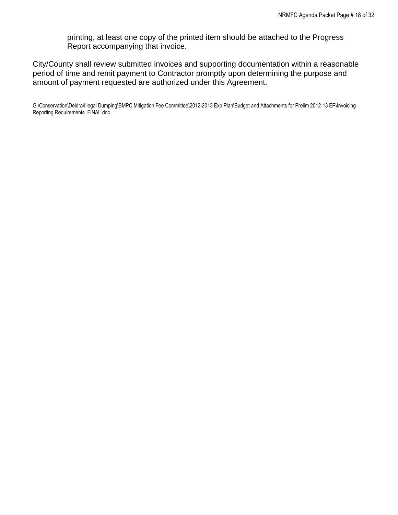printing, at least one copy of the printed item should be attached to the Progress Report accompanying that invoice.

City/County shall review submitted invoices and supporting documentation within a reasonable period of time and remit payment to Contractor promptly upon determining the purpose and amount of payment requested are authorized under this Agreement.

G:\Conservation\Deidra\Illegal Dumping\BMPC Mitigation Fee Committee\2012-2013 Exp Plan\Budget and Attachments for Prelim 2012-13 EP\Invoicing-Reporting Requirements\_FINAL.doc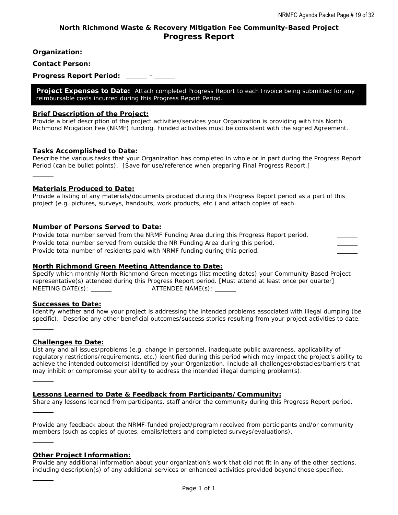## **North Richmond Waste & Recovery Mitigation Fee Community-Based Project Progress Report**

**Organization:** 

**Contact Person:** 

**Progress Report Period:** \_\_\_\_\_ - \_

**Project Expenses to Date:** *Attach completed Progress Report to each Invoice being submitted for any reimbursable costs incurred during this Progress Report Period.* 

#### **Brief Description of the Project:**

*Provide a brief description of the project activities/services your Organization is providing with this North Richmond Mitigation Fee (NRMF) funding. Funded activities must be consistent with the signed Agreement.* 

#### **Tasks Accomplished to Date:**

 $\overline{a}$ 

 $\overline{a}$ 

 $\overline{a}$ 

 $\overline{a}$ 

 $\overline{a}$ 

 $\overline{a}$ 

 $\overline{a}$ 

 $\overline{a}$ 

*Describe the various tasks that your Organization has completed in whole or in part during the Progress Report Period (can be bullet points). [Save for use/reference when preparing Final Progress Report.]* 

#### **Materials Produced to Date:**

*Provide a listing of any materials/documents produced during this Progress Report period as a part of this project (e.g. pictures, surveys, handouts, work products, etc.) and attach copies of each.* 

#### **Number of Persons Served to Date:**

*Provide total number served from the NRMF Funding Area during this Progress Report period. Provide total number served from outside the NR Funding Area during this period. Provide total number of residents paid with NRMF funding during this period.* 

#### **North Richmond Green Meeting Attendance to Date:**

*Specify which monthly North Richmond Green meetings (list meeting dates) your Community Based Project representative(s) attended during this Progress Report period. [Must attend at least once per quarter] MEETING DATE(s): ATTENDEE NAME(s):* 

#### **Successes to Date:**

*Identify whether and how your project is addressing the intended problems associated with illegal dumping (be specific). Describe any other beneficial outcomes/success stories resulting from your project activities to date.* 

#### **Challenges to Date:**

*List any and all issues/problems (e.g. change in personnel, inadequate public awareness, applicability of regulatory restrictions/requirements, etc.) identified during this period which may impact the project's ability to*  achieve the intended outcome(s) identified by your Organization. Include all challenges/obstacles/barriers that *may inhibit or compromise your ability to address the intended illegal dumping problem(s).* 

#### **Lessons Learned to Date & Feedback from Participants/Community:**

*Share any lessons learned from participants, staff and/or the community during this Progress Report period.* 

*Provide any feedback about the NRMF-funded project/program received from participants and/or community members (such as copies of quotes, emails/letters and completed surveys/evaluations).* 

#### **Other Project Information:**

*Provide any additional information about your organization's work that did not fit in any of the other sections, including description(s) of any additional services or enhanced activities provided beyond those specified.*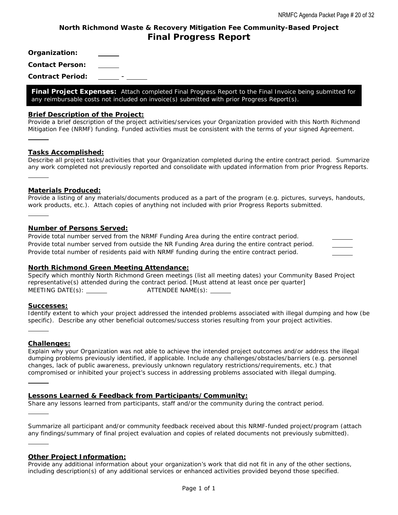## **North Richmond Waste & Recovery Mitigation Fee Community-Based Project Final Progress Report**

**Organization:** 

**Contact Person:** 

**Contract Period:** -

**Final Project Expenses:** *Attach completed Final Progress Report to the Final Invoice being submitted for any reimbursable costs not included on invoice(s) submitted with prior Progress Report(s).* 

#### **Brief Description of the Project:**

*Provide a brief description of the project activities/services your Organization provided with this North Richmond Mitigation Fee (NRMF) funding. Funded activities must be consistent with the terms of your signed Agreement.* 

#### **Tasks Accomplished:**

 $\overline{a}$ 

 $\overline{a}$ 

 $\overline{a}$ 

 $\overline{a}$ 

 $\overline{a}$ 

 $\overline{a}$ 

*Describe all project tasks/activities that your Organization completed during the entire contract period. Summarize any work completed not previously reported and consolidate with updated information from prior Progress Reports.*   $\overline{a}$ 

#### **Materials Produced:**

*Provide a listing of any materials/documents produced as a part of the program (e.g. pictures, surveys, handouts, work products, etc.). Attach copies of anything not included with prior Progress Reports submitted.* 

#### **Number of Persons Served:**

*Provide total number served from the NRMF Funding Area during the entire contract period. Provide total number served from outside the NR Funding Area during the entire contract period. Provide total number of residents paid with NRMF funding during the entire contract period.* 

#### **North Richmond Green Meeting Attendance:**

*Specify which monthly North Richmond Green meetings (list all meeting dates) your Community Based Project representative(s) attended during the contract period. [Must attend at least once per quarter] MEETING DATE(s): ATTENDEE NAME(s):* 

#### **Successes:**

*Identify extent to which your project addressed the intended problems associated with illegal dumping and how (be specific). Describe any other beneficial outcomes/success stories resulting from your project activities.* 

#### **Challenges:**

*Explain why your Organization was not able to achieve the intended project outcomes and/or address the illegal dumping problems previously identified, if applicable. Include any challenges/obstacles/barriers (e.g. personnel changes, lack of public awareness, previously unknown regulatory restrictions/requirements, etc.) that compromised or inhibited your project's success in addressing problems associated with illegal dumping.* 

#### **Lessons Learned & Feedback from Participants/Community:**

*Share any lessons learned from participants, staff and/or the community during the contract period.* 

*Summarize all participant and/or community feedback received about this NRMF-funded project/program (attach*  any findings/summary of final project evaluation and copies of related documents not previously submitted).

#### **Other Project Information:**

*Provide any additional information about your organization's work that did not fit in any of the other sections, including description(s) of any additional services or enhanced activities provided beyond those specified.*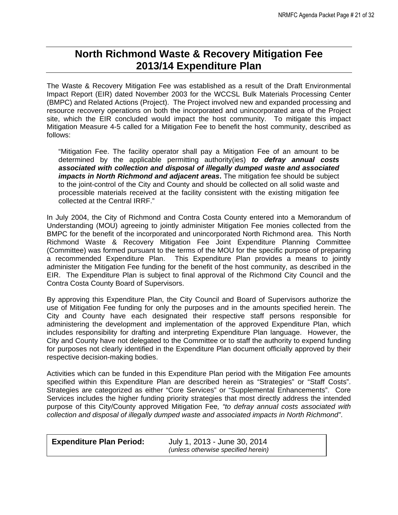# **North Richmond Waste & Recovery Mitigation Fee 2013/14 Expenditure Plan**

The Waste & Recovery Mitigation Fee was established as a result of the Draft Environmental Impact Report (EIR) dated November 2003 for the WCCSL Bulk Materials Processing Center (BMPC) and Related Actions (Project). The Project involved new and expanded processing and resource recovery operations on both the incorporated and unincorporated area of the Project site, which the EIR concluded would impact the host community. To mitigate this impact Mitigation Measure 4-5 called for a Mitigation Fee to benefit the host community, described as follows:

"Mitigation Fee. The facility operator shall pay a Mitigation Fee of an amount to be determined by the applicable permitting authority(ies) *to defray annual costs associated with collection and disposal of illegally dumped waste and associated impacts in North Richmond and adjacent areas***.** The mitigation fee should be subject to the joint-control of the City and County and should be collected on all solid waste and processible materials received at the facility consistent with the existing mitigation fee collected at the Central IRRF."

In July 2004, the City of Richmond and Contra Costa County entered into a Memorandum of Understanding (MOU) agreeing to jointly administer Mitigation Fee monies collected from the BMPC for the benefit of the incorporated and unincorporated North Richmond area. This North Richmond Waste & Recovery Mitigation Fee Joint Expenditure Planning Committee (Committee) was formed pursuant to the terms of the MOU for the specific purpose of preparing a recommended Expenditure Plan. This Expenditure Plan provides a means to jointly administer the Mitigation Fee funding for the benefit of the host community, as described in the EIR. The Expenditure Plan is subject to final approval of the Richmond City Council and the Contra Costa County Board of Supervisors.

By approving this Expenditure Plan, the City Council and Board of Supervisors authorize the use of Mitigation Fee funding for only the purposes and in the amounts specified herein. The City and County have each designated their respective staff persons responsible for administering the development and implementation of the approved Expenditure Plan, which includes responsibility for drafting and interpreting Expenditure Plan language. However, the City and County have not delegated to the Committee or to staff the authority to expend funding for purposes not clearly identified in the Expenditure Plan document officially approved by their respective decision-making bodies.

Activities which can be funded in this Expenditure Plan period with the Mitigation Fee amounts specified within this Expenditure Plan are described herein as "Strategies" or "Staff Costs". Strategies are categorized as either "Core Services" or "Supplemental Enhancements". Core Services includes the higher funding priority strategies that most directly address the intended purpose of this City/County approved Mitigation Fee*, "to defray annual costs associated with collection and disposal of illegally dumped waste and associated impacts in North Richmond"*.

| <b>Expenditure Plan Period:</b> | July 1, 2013 - June 30, 2014<br>(unless otherwise specified herein) |  |
|---------------------------------|---------------------------------------------------------------------|--|
|                                 |                                                                     |  |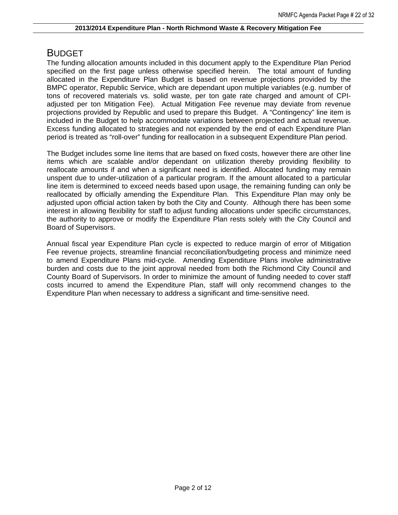# BUDGET

The funding allocation amounts included in this document apply to the Expenditure Plan Period specified on the first page unless otherwise specified herein. The total amount of funding allocated in the Expenditure Plan Budget is based on revenue projections provided by the BMPC operator, Republic Service, which are dependant upon multiple variables (e.g. number of tons of recovered materials vs. solid waste, per ton gate rate charged and amount of CPIadjusted per ton Mitigation Fee). Actual Mitigation Fee revenue may deviate from revenue projections provided by Republic and used to prepare this Budget. A "Contingency" line item is included in the Budget to help accommodate variations between projected and actual revenue. Excess funding allocated to strategies and not expended by the end of each Expenditure Plan period is treated as "roll-over" funding for reallocation in a subsequent Expenditure Plan period.

The Budget includes some line items that are based on fixed costs, however there are other line items which are scalable and/or dependant on utilization thereby providing flexibility to reallocate amounts if and when a significant need is identified. Allocated funding may remain unspent due to under-utilization of a particular program. If the amount allocated to a particular line item is determined to exceed needs based upon usage, the remaining funding can only be reallocated by officially amending the Expenditure Plan. This Expenditure Plan may only be adjusted upon official action taken by both the City and County. Although there has been some interest in allowing flexibility for staff to adjust funding allocations under specific circumstances, the authority to approve or modify the Expenditure Plan rests solely with the City Council and Board of Supervisors.

Annual fiscal year Expenditure Plan cycle is expected to reduce margin of error of Mitigation Fee revenue projects, streamline financial reconciliation/budgeting process and minimize need to amend Expenditure Plans mid-cycle. Amending Expenditure Plans involve administrative burden and costs due to the joint approval needed from both the Richmond City Council and County Board of Supervisors. In order to minimize the amount of funding needed to cover staff costs incurred to amend the Expenditure Plan, staff will only recommend changes to the Expenditure Plan when necessary to address a significant and time-sensitive need.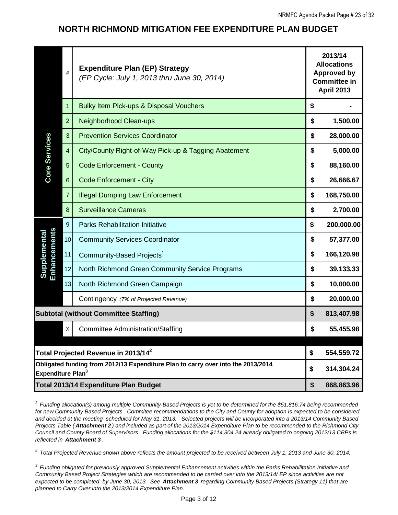## **NORTH RICHMOND MITIGATION FEE EXPENDITURE PLAN BUDGET**

|                                                                                                                                                                                                                                                                                                                                                                                                                                                                                                                                                                                                                                                                                                                                                                                                                           | #              | <b>Expenditure Plan (EP) Strategy</b><br>(EP Cycle: July 1, 2013 thru June 30, 2014)                                        | 2013/14<br><b>Allocations</b><br><b>Approved by</b><br><b>Committee in</b><br><b>April 2013</b> |            |  |  |  |
|---------------------------------------------------------------------------------------------------------------------------------------------------------------------------------------------------------------------------------------------------------------------------------------------------------------------------------------------------------------------------------------------------------------------------------------------------------------------------------------------------------------------------------------------------------------------------------------------------------------------------------------------------------------------------------------------------------------------------------------------------------------------------------------------------------------------------|----------------|-----------------------------------------------------------------------------------------------------------------------------|-------------------------------------------------------------------------------------------------|------------|--|--|--|
|                                                                                                                                                                                                                                                                                                                                                                                                                                                                                                                                                                                                                                                                                                                                                                                                                           | 1              | Bulky Item Pick-ups & Disposal Vouchers                                                                                     | \$                                                                                              |            |  |  |  |
|                                                                                                                                                                                                                                                                                                                                                                                                                                                                                                                                                                                                                                                                                                                                                                                                                           | $\overline{2}$ | Neighborhood Clean-ups                                                                                                      | \$                                                                                              | 1,500.00   |  |  |  |
|                                                                                                                                                                                                                                                                                                                                                                                                                                                                                                                                                                                                                                                                                                                                                                                                                           | 3              | <b>Prevention Services Coordinator</b>                                                                                      | \$                                                                                              | 28,000.00  |  |  |  |
|                                                                                                                                                                                                                                                                                                                                                                                                                                                                                                                                                                                                                                                                                                                                                                                                                           | 4              | City/County Right-of-Way Pick-up & Tagging Abatement                                                                        | \$                                                                                              | 5,000.00   |  |  |  |
| Core Services                                                                                                                                                                                                                                                                                                                                                                                                                                                                                                                                                                                                                                                                                                                                                                                                             | 5              | <b>Code Enforcement - County</b>                                                                                            | \$                                                                                              | 88,160.00  |  |  |  |
|                                                                                                                                                                                                                                                                                                                                                                                                                                                                                                                                                                                                                                                                                                                                                                                                                           | 6              | <b>Code Enforcement - City</b>                                                                                              | \$                                                                                              | 26,666.67  |  |  |  |
|                                                                                                                                                                                                                                                                                                                                                                                                                                                                                                                                                                                                                                                                                                                                                                                                                           | 7              | <b>Illegal Dumping Law Enforcement</b>                                                                                      |                                                                                                 | 168,750.00 |  |  |  |
|                                                                                                                                                                                                                                                                                                                                                                                                                                                                                                                                                                                                                                                                                                                                                                                                                           | 8              | \$                                                                                                                          | 2,700.00                                                                                        |            |  |  |  |
|                                                                                                                                                                                                                                                                                                                                                                                                                                                                                                                                                                                                                                                                                                                                                                                                                           | 9              | <b>Parks Rehabilitation Initiative</b>                                                                                      | \$                                                                                              | 200,000.00 |  |  |  |
| Enhancements<br>Supplementa                                                                                                                                                                                                                                                                                                                                                                                                                                                                                                                                                                                                                                                                                                                                                                                               | 10             | <b>Community Services Coordinator</b>                                                                                       | \$                                                                                              | 57,377.00  |  |  |  |
|                                                                                                                                                                                                                                                                                                                                                                                                                                                                                                                                                                                                                                                                                                                                                                                                                           | 11             | Community-Based Projects <sup>1</sup>                                                                                       | \$                                                                                              | 166,120.98 |  |  |  |
|                                                                                                                                                                                                                                                                                                                                                                                                                                                                                                                                                                                                                                                                                                                                                                                                                           | 12             | North Richmond Green Community Service Programs                                                                             | \$                                                                                              | 39,133.33  |  |  |  |
|                                                                                                                                                                                                                                                                                                                                                                                                                                                                                                                                                                                                                                                                                                                                                                                                                           | 13             | North Richmond Green Campaign                                                                                               | \$                                                                                              | 10,000.00  |  |  |  |
|                                                                                                                                                                                                                                                                                                                                                                                                                                                                                                                                                                                                                                                                                                                                                                                                                           |                | Contingency (7% of Projected Revenue)                                                                                       | \$                                                                                              | 20,000.00  |  |  |  |
|                                                                                                                                                                                                                                                                                                                                                                                                                                                                                                                                                                                                                                                                                                                                                                                                                           |                | <b>Subtotal (without Committee Staffing)</b>                                                                                | \$                                                                                              | 813,407.98 |  |  |  |
|                                                                                                                                                                                                                                                                                                                                                                                                                                                                                                                                                                                                                                                                                                                                                                                                                           | X              | <b>Committee Administration/Staffing</b>                                                                                    | \$                                                                                              | 55,455.98  |  |  |  |
|                                                                                                                                                                                                                                                                                                                                                                                                                                                                                                                                                                                                                                                                                                                                                                                                                           |                |                                                                                                                             |                                                                                                 |            |  |  |  |
|                                                                                                                                                                                                                                                                                                                                                                                                                                                                                                                                                                                                                                                                                                                                                                                                                           |                | Total Projected Revenue in 2013/14 $^2$<br>Obligated funding from 2012/13 Expenditure Plan to carry over into the 2013/2014 | \$                                                                                              | 554,559.72 |  |  |  |
| Expenditure Plan <sup>3</sup>                                                                                                                                                                                                                                                                                                                                                                                                                                                                                                                                                                                                                                                                                                                                                                                             |                |                                                                                                                             | \$                                                                                              | 314,304.24 |  |  |  |
|                                                                                                                                                                                                                                                                                                                                                                                                                                                                                                                                                                                                                                                                                                                                                                                                                           |                | Total 2013/14 Expenditure Plan Budget                                                                                       | \$                                                                                              | 868,863.96 |  |  |  |
| $1$ Funding allocation(s) among multiple Community-Based Projects is yet to be determined for the \$51,816.74 being recommended<br>for new Community Based Projects. Commitee recommendations to the City and County for adoption is expected to be considered<br>and decided at the meeting scheduled for May 31, 2013. Selected projects will be incorporated into a 2013/14 Community Based<br>Projects Table (Attachment 2) and included as part of the 2013/2014 Expenditure Plan to be recommended to the Richmond City<br>Council and County Board of Supervisors. Funding allocations for the \$114,304.24 already obligated to ongoing 2012/13 CBPs is<br>reflected in Attachment 3.<br>Total Projected Revenue shown above reflects the amount projected to be received between July 1, 2013 and June 30, 2014. |                |                                                                                                                             |                                                                                                 |            |  |  |  |

*3 Funding obligated for previously approved Supplemental Enhancement activities within the Parks Rehabilitation Initiative and Community Based Project Strategies which are recommended to be carried over into the 2013/14/ EP since activities are not expected to be completed by June 30, 2013. See Attachment 3 regarding Community Based Projects (Strategy 11) that are planned to Carry Over into the 2013/2014 Expenditure Plan.*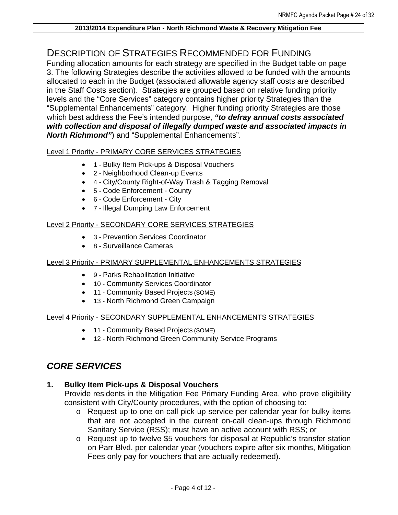## DESCRIPTION OF STRATEGIES RECOMMENDED FOR FUNDING

Funding allocation amounts for each strategy are specified in the Budget table on page 3. The following Strategies describe the activities allowed to be funded with the amounts allocated to each in the Budget (associated allowable agency staff costs are described in the Staff Costs section). Strategies are grouped based on relative funding priority levels and the "Core Services" category contains higher priority Strategies than the "Supplemental Enhancements" category. Higher funding priority Strategies are those which best address the Fee's intended purpose, *"to defray annual costs associated with collection and disposal of illegally dumped waste and associated impacts in North Richmond"*) and "Supplemental Enhancements".

## Level 1 Priority - PRIMARY CORE SERVICES STRATEGIES

- 1 Bulky Item Pick-ups & Disposal Vouchers
- 2 Neighborhood Clean-up Events
- 4 City/County Right-of-Way Trash & Tagging Removal
- 5 Code Enforcement County
- 6 Code Enforcement City
- 7 Illegal Dumping Law Enforcement

## Level 2 Priority - SECONDARY CORE SERVICES STRATEGIES

- 3 Prevention Services Coordinator
- 8 Surveillance Cameras

## Level 3 Priority - PRIMARY SUPPLEMENTAL ENHANCEMENTS STRATEGIES

- 9 Parks Rehabilitation Initiative
- 10 Community Services Coordinator
- 11 Community Based Projects (SOME)
- 13 North Richmond Green Campaign

## Level 4 Priority - SECONDARY SUPPLEMENTAL ENHANCEMENTS STRATEGIES

- 11 Community Based Projects (SOME)
- 12 North Richmond Green Community Service Programs

# *CORE SERVICES*

## **1. Bulky Item Pick-ups & Disposal Vouchers**

Provide residents in the Mitigation Fee Primary Funding Area, who prove eligibility consistent with City/County procedures, with the option of choosing to:

- o Request up to one on-call pick-up service per calendar year for bulky items that are not accepted in the current on-call clean-ups through Richmond Sanitary Service (RSS); must have an active account with RSS; or
- o Request up to twelve \$5 vouchers for disposal at Republic's transfer station on Parr Blvd. per calendar year (vouchers expire after six months, Mitigation Fees only pay for vouchers that are actually redeemed).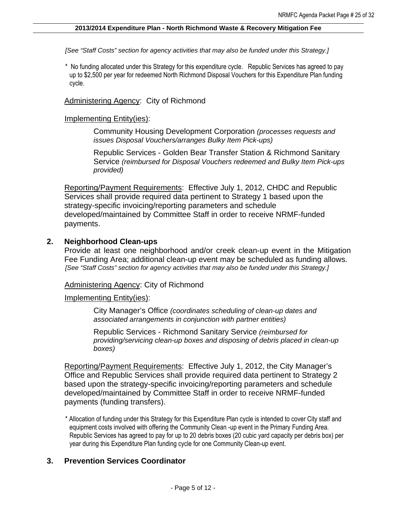*[See "Staff Costs" section for agency activities that may also be funded under this Strategy.]* 

\* No funding allocated under this Strategy for this expenditure cycle. Republic Services has agreed to pay up to \$2,500 per year for redeemed North Richmond Disposal Vouchers for this Expenditure Plan funding cycle.

Administering Agency: City of Richmond

## Implementing Entity(ies):

Community Housing Development Corporation *(processes requests and issues Disposal Vouchers/arranges Bulky Item Pick-ups)* 

Republic Services - Golden Bear Transfer Station & Richmond Sanitary Service *(reimbursed for Disposal Vouchers redeemed and Bulky Item Pick-ups provided)*

Reporting/Payment Requirements: Effective July 1, 2012, CHDC and Republic Services shall provide required data pertinent to Strategy 1 based upon the strategy-specific invoicing/reporting parameters and schedule developed/maintained by Committee Staff in order to receive NRMF-funded payments.

## **2. Neighborhood Clean-ups**

Provide at least one neighborhood and/or creek clean-up event in the Mitigation Fee Funding Area; additional clean-up event may be scheduled as funding allows. *[See "Staff Costs" section for agency activities that may also be funded under this Strategy.]* 

Administering Agency: City of Richmond

Implementing Entity(ies):

City Manager's Office *(coordinates scheduling of clean-up dates and associated arrangements in conjunction with partner entities)* 

Republic Services - Richmond Sanitary Service *(reimbursed for providing/servicing clean-up boxes and disposing of debris placed in clean-up boxes)*

Reporting/Payment Requirements: Effective July 1, 2012, the City Manager's Office and Republic Services shall provide required data pertinent to Strategy 2 based upon the strategy-specific invoicing/reporting parameters and schedule developed/maintained by Committee Staff in order to receive NRMF-funded payments (funding transfers).

\* Allocation of funding under this Strategy for this Expenditure Plan cycle is intended to cover City staff and equipment costs involved with offering the Community Clean -up event in the Primary Funding Area. Republic Services has agreed to pay for up to 20 debris boxes (20 cubic yard capacity per debris box) per year during this Expenditure Plan funding cycle for one Community Clean-up event.

## **3. Prevention Services Coordinator**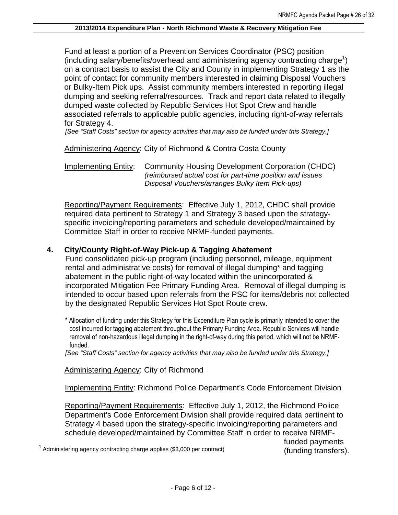Fund at least a portion of a Prevention Services Coordinator (PSC) position (including salary/benefits/overhead and administering agency contracting charge<sup>1</sup>) on a contract basis to assist the City and County in implementing Strategy 1 as the point of contact for community members interested in claiming Disposal Vouchers or Bulky-Item Pick ups. Assist community members interested in reporting illegal dumping and seeking referral/resources. Track and report data related to illegally dumped waste collected by Republic Services Hot Spot Crew and handle associated referrals to applicable public agencies, including right-of-way referrals for Strategy 4.

*[See "Staff Costs" section for agency activities that may also be funded under this Strategy.]* 

Administering Agency: City of Richmond & Contra Costa County

Implementing Entity: Community Housing Development Corporation (CHDC) *(reimbursed actual cost for part-time position and issues Disposal Vouchers/arranges Bulky Item Pick-ups)*

Reporting/Payment Requirements: Effective July 1, 2012, CHDC shall provide required data pertinent to Strategy 1 and Strategy 3 based upon the strategyspecific invoicing/reporting parameters and schedule developed/maintained by Committee Staff in order to receive NRMF-funded payments.

## **4. City/County Right-of-Way Pick-up & Tagging Abatement**

Fund consolidated pick-up program (including personnel, mileage, equipment rental and administrative costs) for removal of illegal dumping\* and tagging abatement in the public right-of-way located within the unincorporated & incorporated Mitigation Fee Primary Funding Area. Removal of illegal dumping is intended to occur based upon referrals from the PSC for items/debris not collected by the designated Republic Services Hot Spot Route crew.

\* Allocation of funding under this Strategy for this Expenditure Plan cycle is primarily intended to cover the cost incurred for tagging abatement throughout the Primary Funding Area. Republic Services will handle removal of non-hazardous illegal dumping in the right-of-way during this period, which will not be NRMFfunded.

*[See "Staff Costs" section for agency activities that may also be funded under this Strategy.]* 

Administering Agency: City of Richmond

Implementing Entity: Richmond Police Department's Code Enforcement Division

Reporting/Payment Requirements: Effective July 1, 2012, the Richmond Police Department's Code Enforcement Division shall provide required data pertinent to Strategy 4 based upon the strategy-specific invoicing/reporting parameters and schedule developed/maintained by Committee Staff in order to receive NRMF-

<sup>1</sup> Administering agency contracting charge applies (\$3,000 per contract)

funded payments (funding transfers).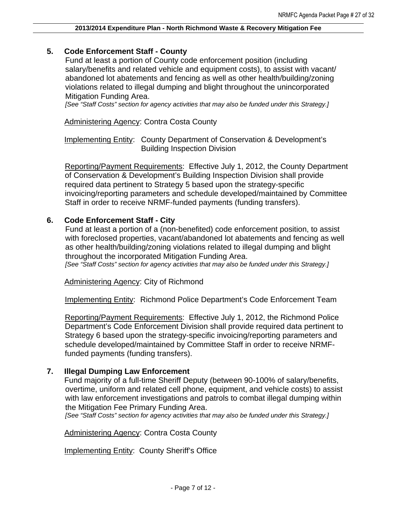## **5. Code Enforcement Staff - County**

Fund at least a portion of County code enforcement position (including salary/benefits and related vehicle and equipment costs), to assist with vacant/ abandoned lot abatements and fencing as well as other health/building/zoning violations related to illegal dumping and blight throughout the unincorporated Mitigation Funding Area.

*[See "Staff Costs" section for agency activities that may also be funded under this Strategy.]* 

Administering Agency: Contra Costa County

Implementing Entity: County Department of Conservation & Development's Building Inspection Division

Reporting/Payment Requirements: Effective July 1, 2012, the County Department of Conservation & Development's Building Inspection Division shall provide required data pertinent to Strategy 5 based upon the strategy-specific invoicing/reporting parameters and schedule developed/maintained by Committee Staff in order to receive NRMF-funded payments (funding transfers).

## **6. Code Enforcement Staff - City**

Fund at least a portion of a (non-benefited) code enforcement position, to assist with foreclosed properties, vacant/abandoned lot abatements and fencing as well as other health/building/zoning violations related to illegal dumping and blight throughout the incorporated Mitigation Funding Area. *[See "Staff Costs" section for agency activities that may also be funded under this Strategy.]* 

Administering Agency: City of Richmond

Implementing Entity: Richmond Police Department's Code Enforcement Team

Reporting/Payment Requirements: Effective July 1, 2012, the Richmond Police Department's Code Enforcement Division shall provide required data pertinent to Strategy 6 based upon the strategy-specific invoicing/reporting parameters and schedule developed/maintained by Committee Staff in order to receive NRMFfunded payments (funding transfers).

## **7. Illegal Dumping Law Enforcement**

Fund majority of a full-time Sheriff Deputy (between 90-100% of salary/benefits, overtime, uniform and related cell phone, equipment, and vehicle costs) to assist with law enforcement investigations and patrols to combat illegal dumping within the Mitigation Fee Primary Funding Area.

*[See "Staff Costs" section for agency activities that may also be funded under this Strategy.]* 

**Administering Agency: Contra Costa County** 

Implementing Entity: County Sheriff's Office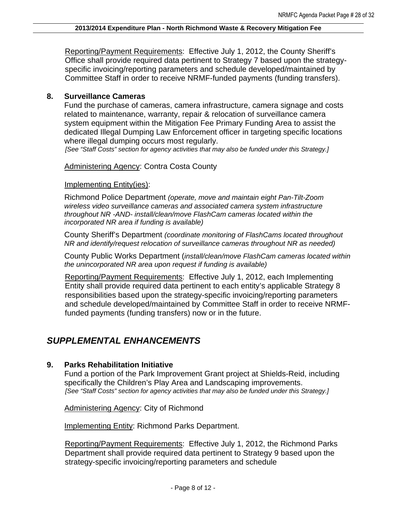Reporting/Payment Requirements: Effective July 1, 2012, the County Sheriff's Office shall provide required data pertinent to Strategy 7 based upon the strategyspecific invoicing/reporting parameters and schedule developed/maintained by Committee Staff in order to receive NRMF-funded payments (funding transfers).

## **8. Surveillance Cameras**

Fund the purchase of cameras, camera infrastructure, camera signage and costs related to maintenance, warranty, repair & relocation of surveillance camera system equipment within the Mitigation Fee Primary Funding Area to assist the dedicated Illegal Dumping Law Enforcement officer in targeting specific locations where illegal dumping occurs most regularly.

*[See "Staff Costs" section for agency activities that may also be funded under this Strategy.]* 

**Administering Agency: Contra Costa County** 

## Implementing Entity(ies):

Richmond Police Department *(operate, move and maintain eight Pan-Tilt-Zoom wireless video surveillance cameras and associated camera system infrastructure throughout NR -AND- install/clean/move FlashCam cameras located within the incorporated NR area if funding is available)*

County Sheriff's Department *(coordinate monitoring of FlashCams located throughout NR and identify/request relocation of surveillance cameras throughout NR as needed)* 

County Public Works Department (*install/clean/move FlashCam cameras located within the unincorporated NR area upon request if funding is available)*

Reporting/Payment Requirements: Effective July 1, 2012, each Implementing Entity shall provide required data pertinent to each entity's applicable Strategy 8 responsibilities based upon the strategy-specific invoicing/reporting parameters and schedule developed/maintained by Committee Staff in order to receive NRMFfunded payments (funding transfers) now or in the future.

# *SUPPLEMENTAL ENHANCEMENTS*

## **9. Parks Rehabilitation Initiative**

Fund a portion of the Park Improvement Grant project at Shields-Reid, including specifically the Children's Play Area and Landscaping improvements. *[See "Staff Costs" section for agency activities that may also be funded under this Strategy.]* 

Administering Agency: City of Richmond

Implementing Entity: Richmond Parks Department.

Reporting/Payment Requirements: Effective July 1, 2012, the Richmond Parks Department shall provide required data pertinent to Strategy 9 based upon the strategy-specific invoicing/reporting parameters and schedule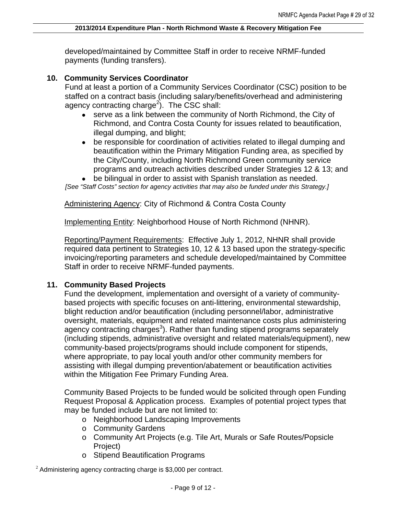developed/maintained by Committee Staff in order to receive NRMF-funded payments (funding transfers).

## **10. Community Services Coordinator**

Fund at least a portion of a Community Services Coordinator (CSC) position to be staffed on a contract basis (including salary/benefits/overhead and administering agency contracting charge<sup>2</sup>). The CSC shall:

- serve as a link between the community of North Richmond, the City of Richmond, and Contra Costa County for issues related to beautification, illegal dumping, and blight;
- be responsible for coordination of activities related to illegal dumping and beautification within the Primary Mitigation Funding area, as specified by the City/County, including North Richmond Green community service programs and outreach activities described under Strategies 12 & 13; and
- be bilingual in order to assist with Spanish translation as needed.

*[See "Staff Costs" section for agency activities that may also be funded under this Strategy.]* 

Administering Agency: City of Richmond & Contra Costa County

Implementing Entity: Neighborhood House of North Richmond (NHNR).

Reporting/Payment Requirements: Effective July 1, 2012, NHNR shall provide required data pertinent to Strategies 10, 12 & 13 based upon the strategy-specific invoicing/reporting parameters and schedule developed/maintained by Committee Staff in order to receive NRMF-funded payments.

## **11. Community Based Projects**

Fund the development, implementation and oversight of a variety of communitybased projects with specific focuses on anti-littering, environmental stewardship, blight reduction and/or beautification (including personnel/labor, administrative oversight, materials, equipment and related maintenance costs plus administering agency contracting charges<sup>3</sup>). Rather than funding stipend programs separately (including stipends, administrative oversight and related materials/equipment), new community-based projects/programs should include component for stipends, where appropriate, to pay local youth and/or other community members for assisting with illegal dumping prevention/abatement or beautification activities within the Mitigation Fee Primary Funding Area.

Community Based Projects to be funded would be solicited through open Funding Request Proposal & Application process. Examples of potential project types that may be funded include but are not limited to:

- o Neighborhood Landscaping Improvements
- o Community Gardens
- o Community Art Projects (e.g. Tile Art, Murals or Safe Routes/Popsicle Project)
- o Stipend Beautification Programs

 $2$  Administering agency contracting charge is \$3,000 per contract.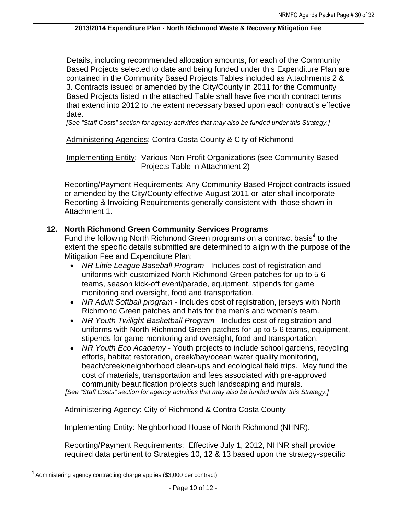Details, including recommended allocation amounts, for each of the Community Based Projects selected to date and being funded under this Expenditure Plan are contained in the Community Based Projects Tables included as Attachments 2 & 3. Contracts issued or amended by the City/County in 2011 for the Community Based Projects listed in the attached Table shall have five month contract terms that extend into 2012 to the extent necessary based upon each contract's effective date.

*[See "Staff Costs" section for agency activities that may also be funded under this Strategy.]* 

## Administering Agencies: Contra Costa County & City of Richmond

Implementing Entity: Various Non-Profit Organizations (see Community Based Projects Table in Attachment 2)

Reporting/Payment Requirements: Any Community Based Project contracts issued or amended by the City/County effective August 2011 or later shall incorporate Reporting & Invoicing Requirements generally consistent with those shown in Attachment 1.

## **12. North Richmond Green Community Services Programs**

Fund the following North Richmond Green programs on a contract basis<sup>4</sup> to the extent the specific details submitted are determined to align with the purpose of the Mitigation Fee and Expenditure Plan:

- *NR Little League Baseball Program* Includes cost of registration and uniforms with customized North Richmond Green patches for up to 5-6 teams, season kick-off event/parade, equipment, stipends for game monitoring and oversight, food and transportation.
- *NR Adult Softball program* Includes cost of registration, jerseys with North Richmond Green patches and hats for the men's and women's team.
- *NR Youth Twilight Basketball Program* Includes cost of registration and uniforms with North Richmond Green patches for up to 5-6 teams, equipment, stipends for game monitoring and oversight, food and transportation.
- *NR Youth Eco Academy* Youth projects to include school gardens, recycling efforts, habitat restoration, creek/bay/ocean water quality monitoring, beach/creek/neighborhood clean-ups and ecological field trips. May fund the cost of materials, transportation and fees associated with pre-approved community beautification projects such landscaping and murals.

*[See "Staff Costs" section for agency activities that may also be funded under this Strategy.]* 

Administering Agency: City of Richmond & Contra Costa County

Implementing Entity: Neighborhood House of North Richmond (NHNR).

Reporting/Payment Requirements: Effective July 1, 2012, NHNR shall provide required data pertinent to Strategies 10, 12 & 13 based upon the strategy-specific

<sup>&</sup>lt;sup>4</sup> Administering agency contracting charge applies (\$3,000 per contract)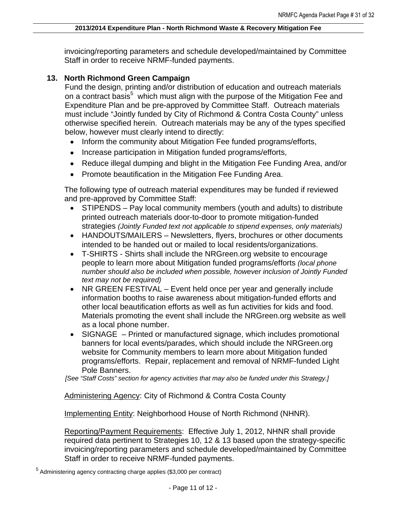invoicing/reporting parameters and schedule developed/maintained by Committee Staff in order to receive NRMF-funded payments.

## **13. North Richmond Green Campaign**

Fund the design, printing and/or distribution of education and outreach materials on a contract basis<sup>5</sup> which must align with the purpose of the Mitigation Fee and Expenditure Plan and be pre-approved by Committee Staff. Outreach materials must include "Jointly funded by City of Richmond & Contra Costa County" unless otherwise specified herein. Outreach materials may be any of the types specified below, however must clearly intend to directly:

- Inform the community about Mitigation Fee funded programs/efforts,
- Increase participation in Mitigation funded programs/efforts,
- Reduce illegal dumping and blight in the Mitigation Fee Funding Area, and/or
- Promote beautification in the Mitigation Fee Funding Area.

The following type of outreach material expenditures may be funded if reviewed and pre-approved by Committee Staff:

- STIPENDS Pay local community members (youth and adults) to distribute printed outreach materials door-to-door to promote mitigation-funded strategies *(Jointly Funded text not applicable to stipend expenses, only materials)*
- HANDOUTS/MAILERS Newsletters, flyers, brochures or other documents intended to be handed out or mailed to local residents/organizations.
- T-SHIRTS Shirts shall include the NRGreen.org website to encourage people to learn more about Mitigation funded programs/efforts *(local phone number should also be included when possible, however inclusion of Jointly Funded text may not be required)*
- NR GREEN FESTIVAL Event held once per year and generally include information booths to raise awareness about mitigation-funded efforts and other local beautification efforts as well as fun activities for kids and food. Materials promoting the event shall include the NRGreen.org website as well as a local phone number.
- SIGNAGE Printed or manufactured signage, which includes promotional banners for local events/parades, which should include the NRGreen.org website for Community members to learn more about Mitigation funded programs/efforts. Repair, replacement and removal of NRMF-funded Light Pole Banners.

*[See "Staff Costs" section for agency activities that may also be funded under this Strategy.]* 

Administering Agency: City of Richmond & Contra Costa County

Implementing Entity: Neighborhood House of North Richmond (NHNR).

Reporting/Payment Requirements: Effective July 1, 2012, NHNR shall provide required data pertinent to Strategies 10, 12 & 13 based upon the strategy-specific invoicing/reporting parameters and schedule developed/maintained by Committee Staff in order to receive NRMF-funded payments.

<sup>5</sup> Administering agency contracting charge applies (\$3,000 per contract)